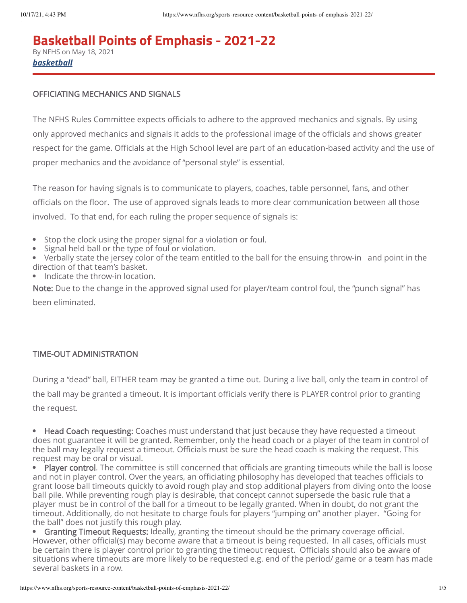# **Basketball Points of Emphasis - 2021-22**

By NFHS on May 18, 2021 *basketball*

### OFFICIATING MECHANICS AND SIGNALS

The NFHS Rules Committee expects officials to adhere to the approved mechanics and signals. By using only approved mechanics and signals it adds to the professional image of the officials and shows greater respect for the game. Officials at the High School level are part of an education-based activity and the use of proper mechanics and the avoidance of "personal style" is essential.

The reason for having signals is to communicate to players, coaches, table personnel, fans, and other officials on the floor. The use of approved signals leads to more clear communication between all those involved. To that end, for each ruling the proper sequence of signals is:

- Stop the clock using the proper signal for a violation or foul.  $\bullet$
- Signal held ball or the type of foul or violation.
- Verbally state the jersey color of the team entitled to the ball for the ensuing throw-in and point in the direction of that team's basket.
- Indicate the throw-in location.

Note: Due to the change in the approved signal used for player/team control foul, the "punch signal" has been eliminated.

# TIME-OUT ADMINISTRATION

During a "dead" ball, EITHER team may be granted a time out. During a live ball, only the team in control of the ball may be granted a timeout. It is important officials verify there is PLAYER control prior to granting the request.

• Head Coach requesting: Coaches must understand that just because they have requested a timeout does not guarantee it will be granted. Remember, only the head coach or a player of the team in control of the ball may legally request a timeout. Officials must be sure the head coach is making the request. This request may be oral or visual.

• Player control. The committee is still concerned that officials are granting timeouts while the ball is loose and not in player control. Over the years, an officiating philosophy has developed that teaches officials to grant loose ball timeouts quickly to avoid rough play and stop additional players from diving onto the loose ball pile. While preventing rough play is desirable, that concept cannot supersede the basic rule that a player must be in control of the ball for a timeout to be legally granted. When in doubt, do not grant the timeout. Additionally, do not hesitate to charge fouls for players "jumping on" another player. "Going for the ball" does not justify this rough play.

• Granting Timeout Requests: Ideally, granting the timeout should be the primary coverage official. However, other official(s) may become aware that a timeout is being requested. In all cases, officials must be certain there is player control prior to granting the timeout request. Officials should also be aware of situations where timeouts are more likely to be requested e.g. end of the period/ game or a team has made several baskets in a row.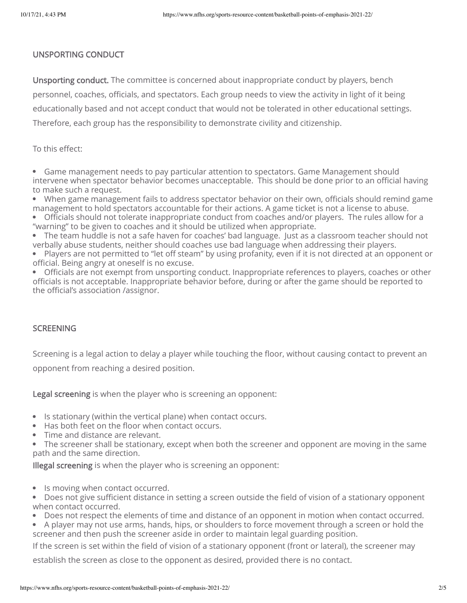#### UNSPORTING CONDUCT

Unsporting conduct. The committee is concerned about inappropriate conduct by players, bench personnel, coaches, officials, and spectators. Each group needs to view the activity in light of it being educationally based and not accept conduct that would not be tolerated in other educational settings. Therefore, each group has the responsibility to demonstrate civility and citizenship.

#### To this effect:

Game management needs to pay particular attention to spectators. Game Management should intervene when spectator behavior becomes unacceptable. This should be done prior to an official having to make such a request.

When game management fails to address spectator behavior on their own, officials should remind game management to hold spectators accountable for their actions. A game ticket is not a license to abuse.

Officials should not tolerate inappropriate conduct from coaches and/or players. The rules allow for a "warning" to be given to coaches and it should be utilized when appropriate.

The team huddle is not a safe haven for coaches' bad language. Just as a classroom teacher should not verbally abuse students, neither should coaches use bad language when addressing their players.

• Players are not permitted to "let off steam" by using profanity, even if it is not directed at an opponent or official. Being angry at oneself is no excuse.

Officials are not exempt from unsporting conduct. Inappropriate references to players, coaches or other officials is not acceptable. Inappropriate behavior before, during or after the game should be reported to the official's association /assignor.

#### **SCREENING**

Screening is a legal action to delay a player while touching the floor, without causing contact to prevent an opponent from reaching a desired position.

Legal screening is when the player who is screening an opponent:

- Is stationary (within the vertical plane) when contact occurs.
- Has both feet on the floor when contact occurs.
- Time and distance are relevant.
- The screener shall be stationary, except when both the screener and opponent are moving in the same path and the same direction.

Illegal screening is when the player who is screening an opponent:

• Is moving when contact occurred.

Does not give sufficient distance in setting a screen outside the field of vision of a stationary opponent when contact occurred.

- Does not respect the elements of time and distance of an opponent in motion when contact occurred.
- A player may not use arms, hands, hips, or shoulders to force movement through a screen or hold the screener and then push the screener aside in order to maintain legal guarding position.

If the screen is set within the field of vision of a stationary opponent (front or lateral), the screener may

establish the screen as close to the opponent as desired, provided there is no contact.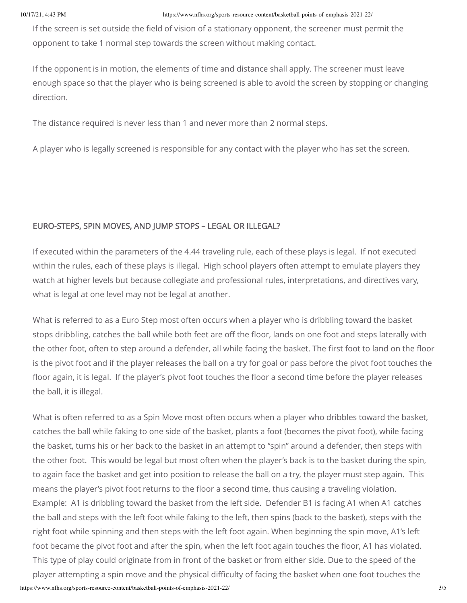If the screen is set outside the field of vision of a stationary opponent, the screener must permit the opponent to take 1 normal step towards the screen without making contact.

If the opponent is in motion, the elements of time and distance shall apply. The screener must leave enough space so that the player who is being screened is able to avoid the screen by stopping or changing direction.

The distance required is never less than 1 and never more than 2 normal steps.

A player who is legally screened is responsible for any contact with the player who has set the screen.

# EURO-STEPS, SPIN MOVES, AND JUMP STOPS – LEGAL OR ILLEGAL?

If executed within the parameters of the 4.44 traveling rule, each of these plays is legal. If not executed within the rules, each of these plays is illegal. High school players often attempt to emulate players they watch at higher levels but because collegiate and professional rules, interpretations, and directives vary, what is legal at one level may not be legal at another.

What is referred to as a Euro Step most often occurs when a player who is dribbling toward the basket stops dribbling, catches the ball while both feet are off the floor, lands on one foot and steps laterally with the other foot, often to step around a defender, all while facing the basket. The first foot to land on the floor is the pivot foot and if the player releases the ball on a try for goal or pass before the pivot foot touches the floor again, it is legal. If the player's pivot foot touches the floor a second time before the player releases the ball, it is illegal.

What is often referred to as a Spin Move most often occurs when a player who dribbles toward the basket, catches the ball while faking to one side of the basket, plants a foot (becomes the pivot foot), while facing the basket, turns his or her back to the basket in an attempt to "spin" around a defender, then steps with the other foot. This would be legal but most often when the player's back is to the basket during the spin, to again face the basket and get into position to release the ball on a try, the player must step again. This means the player's pivot foot returns to the floor a second time, thus causing a traveling violation. Example: A1 is dribbling toward the basket from the left side. Defender B1 is facing A1 when A1 catches the ball and steps with the left foot while faking to the left, then spins (back to the basket), steps with the right foot while spinning and then steps with the left foot again. When beginning the spin move, A1's left foot became the pivot foot and after the spin, when the left foot again touches the floor, A1 has violated. This type of play could originate from in front of the basket or from either side. Due to the speed of the player attempting a spin move and the physical difficulty of facing the basket when one foot touches the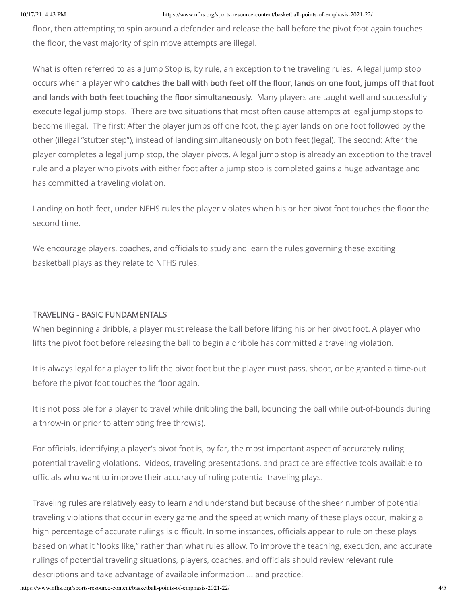floor, then attempting to spin around a defender and release the ball before the pivot foot again touches the floor, the vast majority of spin move attempts are illegal.

What is often referred to as a Jump Stop is, by rule, an exception to the traveling rules. A legal jump stop occurs when a player who catches the ball with both feet off the floor, lands on one foot, jumps off that foot and lands with both feet touching the floor simultaneously. Many players are taught well and successfully execute legal jump stops. There are two situations that most often cause attempts at legal jump stops to become illegal. The first: After the player jumps off one foot, the player lands on one foot followed by the other (illegal "stutter step"), instead of landing simultaneously on both feet (legal). The second: After the player completes a legal jump stop, the player pivots. A legal jump stop is already an exception to the travel rule and a player who pivots with either foot after a jump stop is completed gains a huge advantage and has committed a traveling violation.

Landing on both feet, under NFHS rules the player violates when his or her pivot foot touches the floor the second time.

We encourage players, coaches, and officials to study and learn the rules governing these exciting basketball plays as they relate to NFHS rules.

# TRAVELING - BASIC FUNDAMENTALS

When beginning a dribble, a player must release the ball before lifting his or her pivot foot. A player who lifts the pivot foot before releasing the ball to begin a dribble has committed a traveling violation.

It is always legal for a player to lift the pivot foot but the player must pass, shoot, or be granted a time-out before the pivot foot touches the floor again.

It is not possible for a player to travel while dribbling the ball, bouncing the ball while out-of-bounds during a throw-in or prior to attempting free throw(s).

For officials, identifying a player's pivot foot is, by far, the most important aspect of accurately ruling potential traveling violations. Videos, traveling presentations, and practice are effective tools available to officials who want to improve their accuracy of ruling potential traveling plays.

Traveling rules are relatively easy to learn and understand but because of the sheer number of potential traveling violations that occur in every game and the speed at which many of these plays occur, making a high percentage of accurate rulings is difficult. In some instances, officials appear to rule on these plays based on what it "looks like," rather than what rules allow. To improve the teaching, execution, and accurate rulings of potential traveling situations, players, coaches, and officials should review relevant rule descriptions and take advantage of available information … and practice!